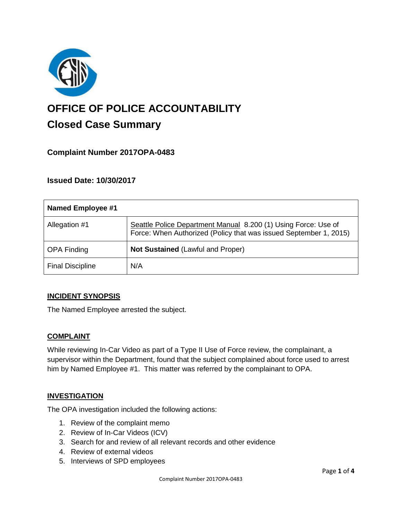

# **OFFICE OF POLICE ACCOUNTABILITY**

# **Closed Case Summary**

# **Complaint Number 2017OPA-0483**

### **Issued Date: 10/30/2017**

| Named Employee #1       |                                                                                                                                     |
|-------------------------|-------------------------------------------------------------------------------------------------------------------------------------|
| Allegation #1           | Seattle Police Department Manual 8.200 (1) Using Force: Use of<br>Force: When Authorized (Policy that was issued September 1, 2015) |
| <b>OPA Finding</b>      | <b>Not Sustained (Lawful and Proper)</b>                                                                                            |
| <b>Final Discipline</b> | N/A                                                                                                                                 |

#### **INCIDENT SYNOPSIS**

The Named Employee arrested the subject.

#### **COMPLAINT**

While reviewing In-Car Video as part of a Type II Use of Force review, the complainant, a supervisor within the Department, found that the subject complained about force used to arrest him by Named Employee #1. This matter was referred by the complainant to OPA.

# **INVESTIGATION**

The OPA investigation included the following actions:

- 1. Review of the complaint memo
- 2. Review of In-Car Videos (ICV)
- 3. Search for and review of all relevant records and other evidence
- 4. Review of external videos
- 5. Interviews of SPD employees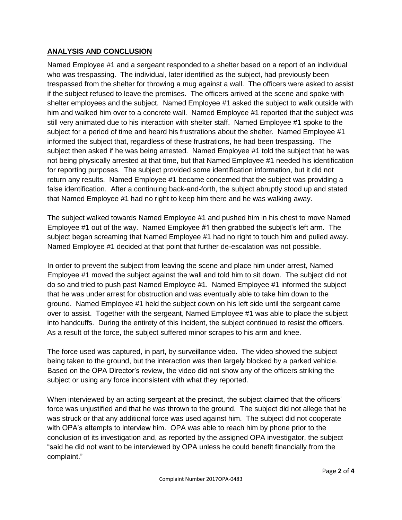#### **ANALYSIS AND CONCLUSION**

Named Employee #1 and a sergeant responded to a shelter based on a report of an individual who was trespassing. The individual, later identified as the subject, had previously been trespassed from the shelter for throwing a mug against a wall. The officers were asked to assist if the subject refused to leave the premises. The officers arrived at the scene and spoke with shelter employees and the subject. Named Employee #1 asked the subject to walk outside with him and walked him over to a concrete wall. Named Employee #1 reported that the subject was still very animated due to his interaction with shelter staff. Named Employee #1 spoke to the subject for a period of time and heard his frustrations about the shelter. Named Emplovee #1 informed the subject that, regardless of these frustrations, he had been trespassing. The subject then asked if he was being arrested. Named Employee #1 told the subject that he was not being physically arrested at that time, but that Named Employee #1 needed his identification for reporting purposes. The subject provided some identification information, but it did not return any results. Named Employee #1 became concerned that the subject was providing a false identification. After a continuing back-and-forth, the subject abruptly stood up and stated that Named Employee #1 had no right to keep him there and he was walking away.

The subject walked towards Named Employee #1 and pushed him in his chest to move Named Employee #1 out of the way. Named Employee #1 then grabbed the subject's left arm. The subject began screaming that Named Employee #1 had no right to touch him and pulled away. Named Employee #1 decided at that point that further de-escalation was not possible.

In order to prevent the subject from leaving the scene and place him under arrest, Named Employee #1 moved the subject against the wall and told him to sit down. The subject did not do so and tried to push past Named Employee #1. Named Employee #1 informed the subject that he was under arrest for obstruction and was eventually able to take him down to the ground. Named Employee #1 held the subject down on his left side until the sergeant came over to assist. Together with the sergeant, Named Employee #1 was able to place the subject into handcuffs. During the entirety of this incident, the subject continued to resist the officers. As a result of the force, the subject suffered minor scrapes to his arm and knee.

The force used was captured, in part, by surveillance video. The video showed the subject being taken to the ground, but the interaction was then largely blocked by a parked vehicle. Based on the OPA Director's review, the video did not show any of the officers striking the subject or using any force inconsistent with what they reported.

When interviewed by an acting sergeant at the precinct, the subject claimed that the officers' force was unjustified and that he was thrown to the ground. The subject did not allege that he was struck or that any additional force was used against him. The subject did not cooperate with OPA's attempts to interview him. OPA was able to reach him by phone prior to the conclusion of its investigation and, as reported by the assigned OPA investigator, the subject "said he did not want to be interviewed by OPA unless he could benefit financially from the complaint."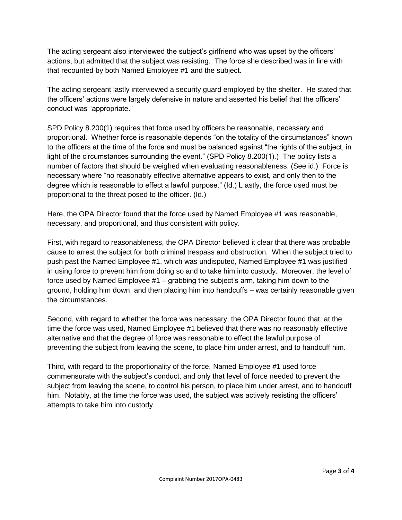The acting sergeant also interviewed the subject's girlfriend who was upset by the officers' actions, but admitted that the subject was resisting. The force she described was in line with that recounted by both Named Employee #1 and the subject.

The acting sergeant lastly interviewed a security guard employed by the shelter. He stated that the officers' actions were largely defensive in nature and asserted his belief that the officers' conduct was "appropriate."

SPD Policy 8.200(1) requires that force used by officers be reasonable, necessary and proportional. Whether force is reasonable depends "on the totality of the circumstances" known to the officers at the time of the force and must be balanced against "the rights of the subject, in light of the circumstances surrounding the event." (SPD Policy 8.200(1).) The policy lists a number of factors that should be weighed when evaluating reasonableness. (See id.) Force is necessary where "no reasonably effective alternative appears to exist, and only then to the degree which is reasonable to effect a lawful purpose." (Id.) L astly, the force used must be proportional to the threat posed to the officer. (Id.)

Here, the OPA Director found that the force used by Named Employee #1 was reasonable, necessary, and proportional, and thus consistent with policy.

First, with regard to reasonableness, the OPA Director believed it clear that there was probable cause to arrest the subject for both criminal trespass and obstruction. When the subject tried to push past the Named Employee #1, which was undisputed, Named Employee #1 was justified in using force to prevent him from doing so and to take him into custody. Moreover, the level of force used by Named Employee #1 – grabbing the subject's arm, taking him down to the ground, holding him down, and then placing him into handcuffs – was certainly reasonable given the circumstances.

Second, with regard to whether the force was necessary, the OPA Director found that, at the time the force was used, Named Employee #1 believed that there was no reasonably effective alternative and that the degree of force was reasonable to effect the lawful purpose of preventing the subject from leaving the scene, to place him under arrest, and to handcuff him.

Third, with regard to the proportionality of the force, Named Employee #1 used force commensurate with the subject's conduct, and only that level of force needed to prevent the subject from leaving the scene, to control his person, to place him under arrest, and to handcuff him. Notably, at the time the force was used, the subject was actively resisting the officers' attempts to take him into custody.